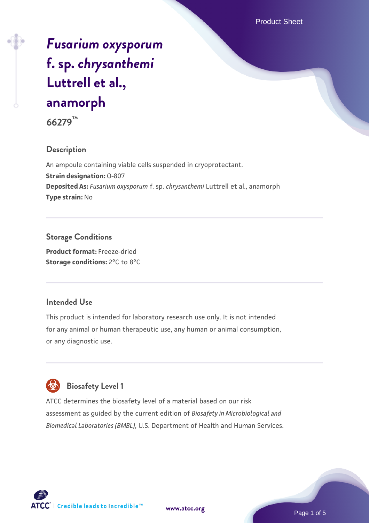# *[Fusarium oxysporum](https://www.atcc.org/products/66279)* **[f. sp.](https://www.atcc.org/products/66279)** *[chrysanthemi](https://www.atcc.org/products/66279)* **[Luttrell et al.,](https://www.atcc.org/products/66279) [anamorph](https://www.atcc.org/products/66279)**

**66279™**

## **Description**

An ampoule containing viable cells suspended in cryoprotectant. **Strain designation:** O-807 **Deposited As:** *Fusarium oxysporum* f. sp. *chrysanthemi* Luttrell et al., anamorph **Type strain:** No

## **Storage Conditions**

**Product format:** Freeze-dried **Storage conditions:** 2°C to 8°C

## **Intended Use**

This product is intended for laboratory research use only. It is not intended for any animal or human therapeutic use, any human or animal consumption, or any diagnostic use.

## **Biosafety Level 1**

ATCC determines the biosafety level of a material based on our risk assessment as guided by the current edition of *Biosafety in Microbiological and Biomedical Laboratories (BMBL)*, U.S. Department of Health and Human Services.

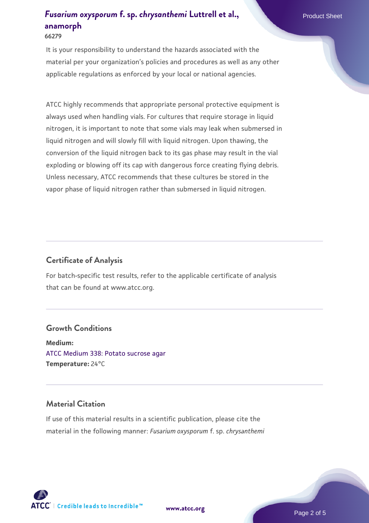## **[Fusarium oxysporum](https://www.atcc.org/products/66279) [f. sp.](https://www.atcc.org/products/66279) [chrysanthemi](https://www.atcc.org/products/66279) [Luttrell et al.,](https://www.atcc.org/products/66279) Product Sheet Product Sheet [anamorph](https://www.atcc.org/products/66279) 66279**

It is your responsibility to understand the hazards associated with the material per your organization's policies and procedures as well as any other applicable regulations as enforced by your local or national agencies.

ATCC highly recommends that appropriate personal protective equipment is always used when handling vials. For cultures that require storage in liquid nitrogen, it is important to note that some vials may leak when submersed in liquid nitrogen and will slowly fill with liquid nitrogen. Upon thawing, the conversion of the liquid nitrogen back to its gas phase may result in the vial exploding or blowing off its cap with dangerous force creating flying debris. Unless necessary, ATCC recommends that these cultures be stored in the vapor phase of liquid nitrogen rather than submersed in liquid nitrogen.

## **Certificate of Analysis**

For batch-specific test results, refer to the applicable certificate of analysis that can be found at www.atcc.org.

#### **Growth Conditions**

**Medium:**  [ATCC Medium 338: Potato sucrose agar](https://www.atcc.org/-/media/product-assets/documents/microbial-media-formulations/3/3/8/atcc-medium-338.pdf?rev=46546b6f4a85482b856b30458c18db73) **Temperature:** 24°C

## **Material Citation**

If use of this material results in a scientific publication, please cite the material in the following manner: *Fusarium oxysporum* f. sp. *chrysanthemi*



**[www.atcc.org](http://www.atcc.org)**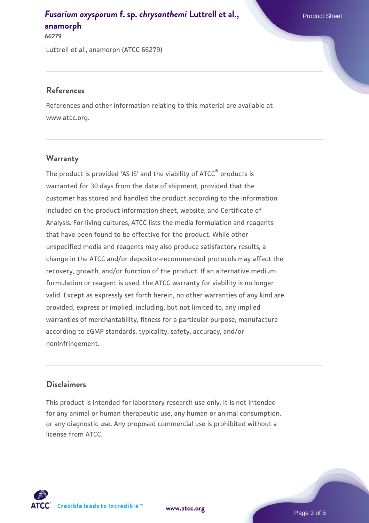## **[Fusarium oxysporum](https://www.atcc.org/products/66279) [f. sp.](https://www.atcc.org/products/66279) [chrysanthemi](https://www.atcc.org/products/66279) [Luttrell et al.,](https://www.atcc.org/products/66279) Product Sheet Product Sheet [anamorph](https://www.atcc.org/products/66279)**

**66279**

Luttrell et al., anamorph (ATCC 66279)

### **References**

References and other information relating to this material are available at www.atcc.org.

## **Warranty**

The product is provided 'AS IS' and the viability of ATCC® products is warranted for 30 days from the date of shipment, provided that the customer has stored and handled the product according to the information included on the product information sheet, website, and Certificate of Analysis. For living cultures, ATCC lists the media formulation and reagents that have been found to be effective for the product. While other unspecified media and reagents may also produce satisfactory results, a change in the ATCC and/or depositor-recommended protocols may affect the recovery, growth, and/or function of the product. If an alternative medium formulation or reagent is used, the ATCC warranty for viability is no longer valid. Except as expressly set forth herein, no other warranties of any kind are provided, express or implied, including, but not limited to, any implied warranties of merchantability, fitness for a particular purpose, manufacture according to cGMP standards, typicality, safety, accuracy, and/or noninfringement.

## **Disclaimers**

This product is intended for laboratory research use only. It is not intended for any animal or human therapeutic use, any human or animal consumption, or any diagnostic use. Any proposed commercial use is prohibited without a license from ATCC.



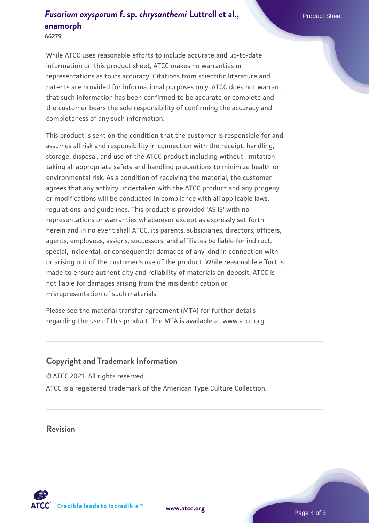## *[Fusarium oxysporum](https://www.atcc.org/products/66279)* **[f. sp.](https://www.atcc.org/products/66279)** *[chrysanthemi](https://www.atcc.org/products/66279)* **[Luttrell et al.,](https://www.atcc.org/products/66279) Product Sheet [anamorph](https://www.atcc.org/products/66279)**

**66279**

While ATCC uses reasonable efforts to include accurate and up-to-date information on this product sheet, ATCC makes no warranties or representations as to its accuracy. Citations from scientific literature and patents are provided for informational purposes only. ATCC does not warrant that such information has been confirmed to be accurate or complete and the customer bears the sole responsibility of confirming the accuracy and completeness of any such information.

This product is sent on the condition that the customer is responsible for and assumes all risk and responsibility in connection with the receipt, handling, storage, disposal, and use of the ATCC product including without limitation taking all appropriate safety and handling precautions to minimize health or environmental risk. As a condition of receiving the material, the customer agrees that any activity undertaken with the ATCC product and any progeny or modifications will be conducted in compliance with all applicable laws, regulations, and guidelines. This product is provided 'AS IS' with no representations or warranties whatsoever except as expressly set forth herein and in no event shall ATCC, its parents, subsidiaries, directors, officers, agents, employees, assigns, successors, and affiliates be liable for indirect, special, incidental, or consequential damages of any kind in connection with or arising out of the customer's use of the product. While reasonable effort is made to ensure authenticity and reliability of materials on deposit, ATCC is not liable for damages arising from the misidentification or misrepresentation of such materials.

Please see the material transfer agreement (MTA) for further details regarding the use of this product. The MTA is available at www.atcc.org.

## **Copyright and Trademark Information**

© ATCC 2021. All rights reserved. ATCC is a registered trademark of the American Type Culture Collection.

## **Revision**